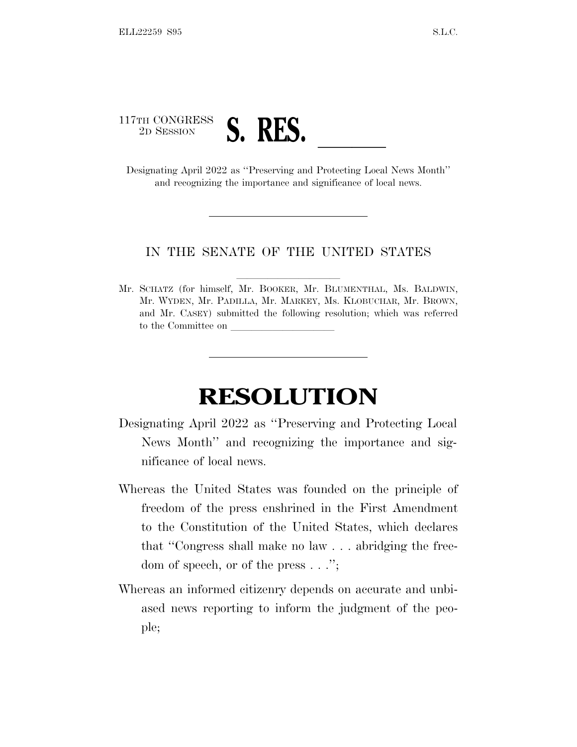

and recognizing the importance and significance of local news.

## IN THE SENATE OF THE UNITED STATES

Mr. SCHATZ (for himself, Mr. BOOKER, Mr. BLUMENTHAL, Ms. BALDWIN, Mr. WYDEN, Mr. PADILLA, Mr. MARKEY, Ms. KLOBUCHAR, Mr. BROWN, and Mr. CASEY) submitted the following resolution; which was referred to the Committee on

## **RESOLUTION**

- Designating April 2022 as ''Preserving and Protecting Local News Month'' and recognizing the importance and significance of local news.
- Whereas the United States was founded on the principle of freedom of the press enshrined in the First Amendment to the Constitution of the United States, which declares that ''Congress shall make no law . . . abridging the freedom of speech, or of the press . . .'';
- Whereas an informed citizenry depends on accurate and unbiased news reporting to inform the judgment of the people;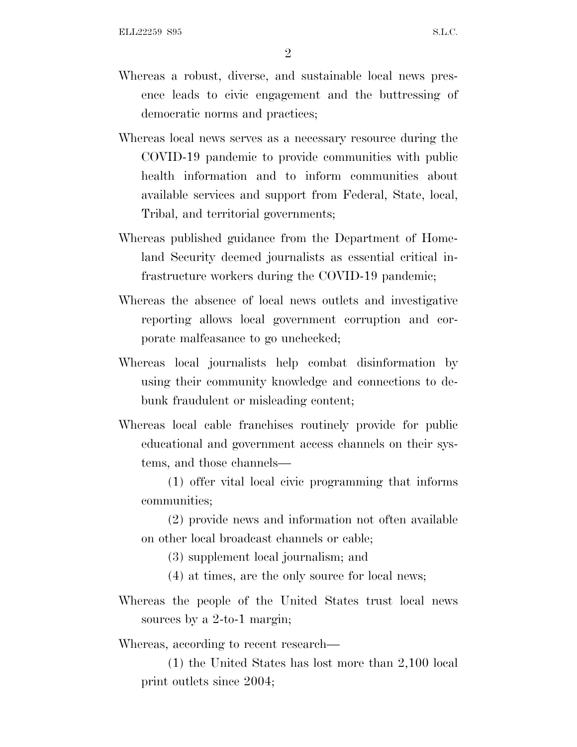- Whereas a robust, diverse, and sustainable local news presence leads to civic engagement and the buttressing of democratic norms and practices;
- Whereas local news serves as a necessary resource during the COVID-19 pandemic to provide communities with public health information and to inform communities about available services and support from Federal, State, local, Tribal, and territorial governments;
- Whereas published guidance from the Department of Homeland Security deemed journalists as essential critical infrastructure workers during the COVID-19 pandemic;
- Whereas the absence of local news outlets and investigative reporting allows local government corruption and corporate malfeasance to go unchecked;
- Whereas local journalists help combat disinformation by using their community knowledge and connections to debunk fraudulent or misleading content;
- Whereas local cable franchises routinely provide for public educational and government access channels on their systems, and those channels—

(1) offer vital local civic programming that informs communities;

(2) provide news and information not often available on other local broadcast channels or cable;

(3) supplement local journalism; and

(4) at times, are the only source for local news;

Whereas the people of the United States trust local news sources by a 2-to-1 margin;

Whereas, according to recent research—

(1) the United States has lost more than 2,100 local print outlets since 2004;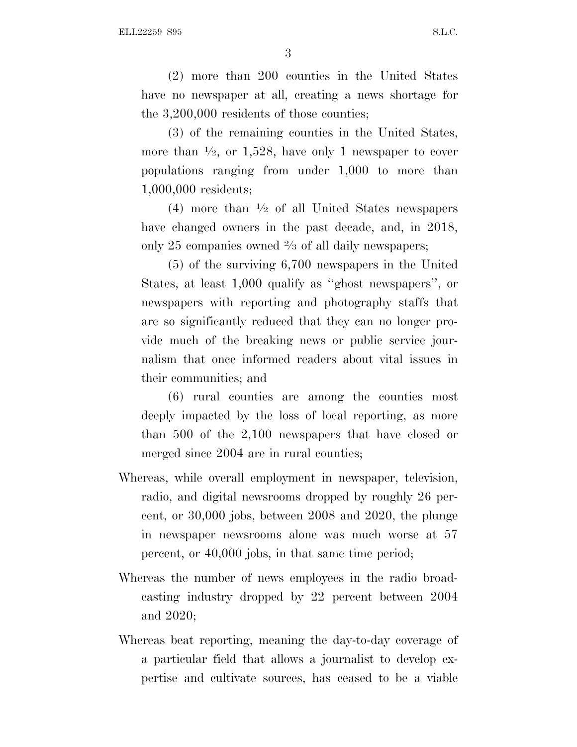3

(2) more than 200 counties in the United States have no newspaper at all, creating a news shortage for the 3,200,000 residents of those counties;

(3) of the remaining counties in the United States, more than  $\frac{1}{2}$ , or 1,528, have only 1 newspaper to cover populations ranging from under 1,000 to more than 1,000,000 residents;

(4) more than  $\frac{1}{2}$  of all United States newspapers have changed owners in the past decade, and, in 2018, only 25 companies owned 2 ⁄3 of all daily newspapers;

(5) of the surviving 6,700 newspapers in the United States, at least 1,000 qualify as ''ghost newspapers'', or newspapers with reporting and photography staffs that are so significantly reduced that they can no longer provide much of the breaking news or public service journalism that once informed readers about vital issues in their communities; and

(6) rural counties are among the counties most deeply impacted by the loss of local reporting, as more than 500 of the 2,100 newspapers that have closed or merged since 2004 are in rural counties;

- Whereas, while overall employment in newspaper, television, radio, and digital newsrooms dropped by roughly 26 percent, or 30,000 jobs, between 2008 and 2020, the plunge in newspaper newsrooms alone was much worse at 57 percent, or 40,000 jobs, in that same time period;
- Whereas the number of news employees in the radio broadcasting industry dropped by 22 percent between 2004 and 2020;
- Whereas beat reporting, meaning the day-to-day coverage of a particular field that allows a journalist to develop expertise and cultivate sources, has ceased to be a viable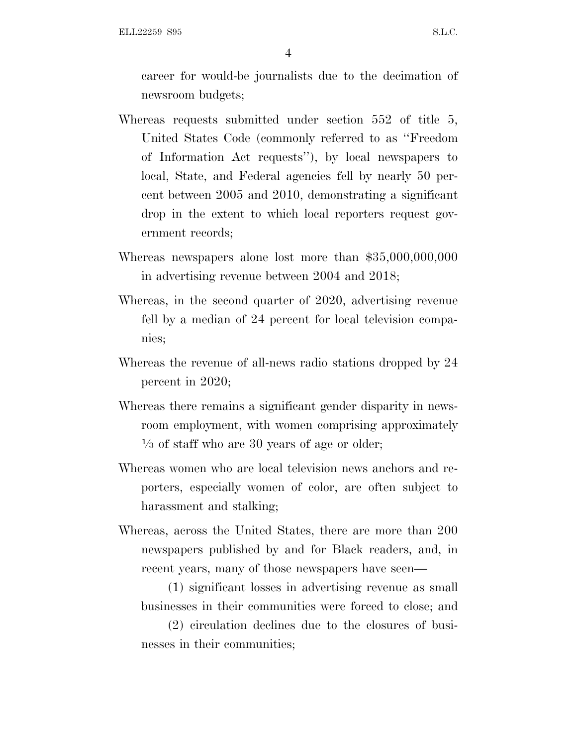ELL22259 S95 S.L.C.

4

career for would-be journalists due to the decimation of newsroom budgets;

- Whereas requests submitted under section 552 of title 5, United States Code (commonly referred to as ''Freedom of Information Act requests''), by local newspapers to local, State, and Federal agencies fell by nearly 50 percent between 2005 and 2010, demonstrating a significant drop in the extent to which local reporters request government records;
- Whereas newspapers alone lost more than \$35,000,000,000 in advertising revenue between 2004 and 2018;
- Whereas, in the second quarter of 2020, advertising revenue fell by a median of 24 percent for local television companies;
- Whereas the revenue of all-news radio stations dropped by 24 percent in 2020;
- Whereas there remains a significant gender disparity in newsroom employment, with women comprising approximately 1 ⁄3 of staff who are 30 years of age or older;
- Whereas women who are local television news anchors and reporters, especially women of color, are often subject to harassment and stalking;
- Whereas, across the United States, there are more than 200 newspapers published by and for Black readers, and, in recent years, many of those newspapers have seen—

(1) significant losses in advertising revenue as small businesses in their communities were forced to close; and

(2) circulation declines due to the closures of businesses in their communities;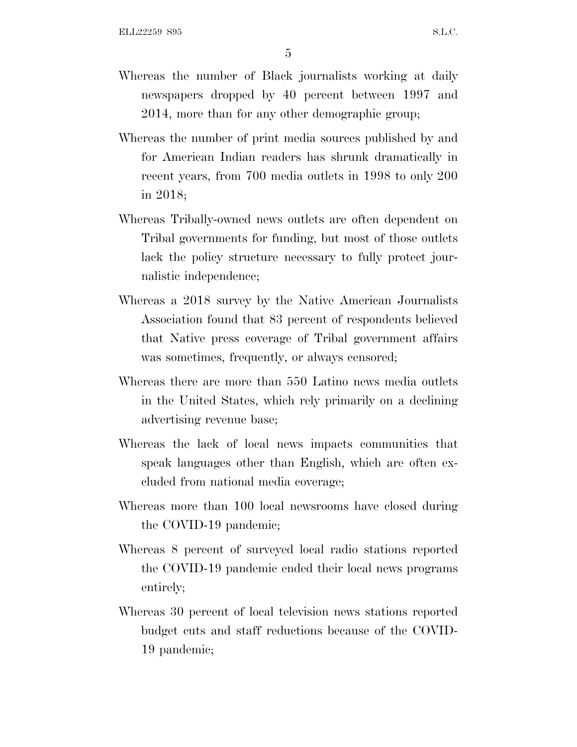5

- Whereas the number of Black journalists working at daily newspapers dropped by 40 percent between 1997 and 2014, more than for any other demographic group;
- Whereas the number of print media sources published by and for American Indian readers has shrunk dramatically in recent years, from 700 media outlets in 1998 to only 200 in 2018;
- Whereas Tribally-owned news outlets are often dependent on Tribal governments for funding, but most of those outlets lack the policy structure necessary to fully protect journalistic independence;
- Whereas a 2018 survey by the Native American Journalists Association found that 83 percent of respondents believed that Native press coverage of Tribal government affairs was sometimes, frequently, or always censored;
- Whereas there are more than 550 Latino news media outlets in the United States, which rely primarily on a declining advertising revenue base;
- Whereas the lack of local news impacts communities that speak languages other than English, which are often excluded from national media coverage;
- Whereas more than 100 local newsrooms have closed during the COVID-19 pandemic;
- Whereas 8 percent of surveyed local radio stations reported the COVID-19 pandemic ended their local news programs entirely;
- Whereas 30 percent of local television news stations reported budget cuts and staff reductions because of the COVID-19 pandemic;